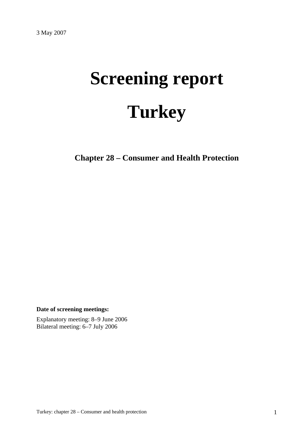# **Screening report Turkey**

**Chapter 28 – Consumer and Health Protection** 

**Date of screening meetings:**

Explanatory meeting: 8–9 June 2006 Bilateral meeting: 6–7 July 2006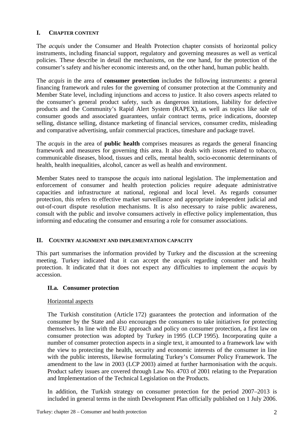# **I. CHAPTER CONTENT**

The *acquis* under the Consumer and Health Protection chapter consists of horizontal policy instruments, including financial support, regulatory and governing measures as well as vertical policies. These describe in detail the mechanisms, on the one hand, for the protection of the consumer's safety and his/her economic interests and, on the other hand, human public health.

The *acquis* in the area of **consumer protection** includes the following instruments: a general financing framework and rules for the governing of consumer protection at the Community and Member State level, including injunctions and access to justice. It also covers aspects related to the consumer's general product safety, such as dangerous imitations, liability for defective products and the Community's Rapid Alert System (RAPEX), as well as topics like sale of consumer goods and associated guarantees, unfair contract terms, price indications, doorstep selling, distance selling, distance marketing of financial services, consumer credits, misleading and comparative advertising, unfair commercial practices, timeshare and package travel.

The *acquis* in the area of **public health** comprises measures as regards the general financing framework and measures for governing this area. It also deals with issues related to tobacco, communicable diseases, blood, tissues and cells, mental health, socio-economic determinants of health, health inequalities, alcohol, cancer as well as health and environment.

Member States need to transpose the *acquis* into national legislation. The implementation and enforcement of consumer and health protection policies require adequate administrative capacities and infrastructure at national, regional and local level. As regards consumer protection, this refers to effective market surveillance and appropriate independent judicial and out-of-court dispute resolution mechanisms. It is also necessary to raise public awareness, consult with the public and involve consumers actively in effective policy implementation, thus informing and educating the consumer and ensuring a role for consumer associations.

#### **II. COUNTRY ALIGNMENT AND IMPLEMENTATION CAPACITY**

This part summarises the information provided by Turkey and the discussion at the screening meeting. Turkey indicated that it can accept the *acquis* regarding consumer and health protection. It indicated that it does not expect any difficulties to implement the *acquis* by accession.

#### **II.a. Consumer protection**

#### Horizontal aspects

The Turkish constitution (Article 172) guarantees the protection and information of the consumer by the State and also encourages the consumers to take initiatives for protecting themselves. In line with the EU approach and policy on consumer protection, a first law on consumer protection was adopted by Turkey in 1995 (LCP 1995). Incorporating quite a number of consumer protection aspects in a single text, it amounted to a framework law with the view to protecting the health, security and economic interests of the consumer in line with the public interests, likewise formulating Turkey's Consumer Policy Framework. The amendment to the law in 2003 (LCP 2003) aimed at further harmonisation with the *acquis*. Product safety issues are covered through Law No. 4703 of 2001 relating to the Preparation and Implementation of the Technical Legislation on the Products.

In addition, the Turkish strategy on consumer protection for the period 2007–2013 is included in general terms in the ninth Development Plan officially published on 1 July 2006.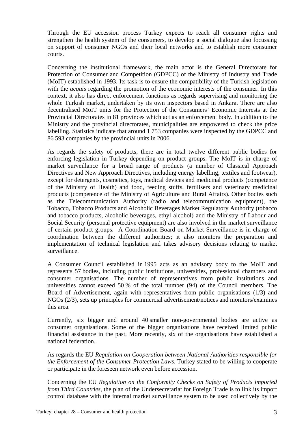Through the EU accession process Turkey expects to reach all consumer rights and strengthen the health system of the consumers, to develop a social dialogue also focussing on support of consumer NGOs and their local networks and to establish more consumer courts.

Concerning the institutional framework, the main actor is the General Directorate for Protection of Consumer and Competition (GDPCC) of the Ministry of Industry and Trade (MoIT) established in 1993. Its task is to ensure the compatibility of the Turkish legislation with the *acquis* regarding the promotion of the economic interests of the consumer. In this context, it also has direct enforcement functions as regards supervising and monitoring the whole Turkish market, undertaken by its own inspectors based in Ankara. There are also decentralised MoIT units for the Protection of the Consumers' Economic Interests at the Provincial Directorates in 81 provinces which act as an enforcement body. In addition to the Ministry and the provincial directorates, municipalities are empowered to check the price labelling. Statistics indicate that around 1 753 companies were inspected by the GDPCC and 86 593 companies by the provincial units in 2006.

As regards the safety of products, there are in total twelve different public bodies for enforcing legislation in Turkey depending on product groups. The MoIT is in charge of market surveillance for a broad range of products (a number of Classical Approach Directives and New Approach Directives, including energy labelling, textiles and footwear), except for detergents, cosmetics, toys, medical devices and medicinal products (competence of the Ministry of Health) and food, feeding stuffs, fertilisers and veterinary medicinal products (competence of the Ministry of Agriculture and Rural Affairs). Other bodies such as the Telecommunication Authority (radio and telecommunication equipment), the Tobacco, Tobacco Products and Alcoholic Beverages Market Regulatory Authority (tobacco and tobacco products, alcoholic beverages, ethyl alcohol) and the Ministry of Labour and Social Security (personal protective equipment) are also involved in the market surveillance of certain product groups. A Coordination Board on Market Surveillance is in charge of coordination between the different authorities; it also monitors the preparation and implementation of technical legislation and takes advisory decisions relating to market surveillance.

A Consumer Council established in 1995 acts as an advisory body to the MoIT and represents 57 bodies, including public institutions, universities, professional chambers and consumer organisations. The number of representatives from public institutions and universities cannot exceed 50 % of the total number (94) of the Council members. The Board of Advertisement, again with representatives from public organisations (1/3) and NGOs (2/3), sets up principles for commercial advertisement/notices and monitors/examines this area.

Currently, six bigger and around 40 smaller non-governmental bodies are active as consumer organisations. Some of the bigger organisations have received limited public financial assistance in the past. More recently, six of the organisations have established a national federation.

As regards the EU *Regulation on Cooperation between National Authorities responsible for the Enforcement of the Consumer Protection Laws, Turkey stated to be willing to cooperate* or participate in the foreseen network even before accession.

Concerning the EU *Regulation on the Conformity Checks on Safety of Products imported from Third Countries*, the plan of the Undersecretariat for Foreign Trade is to link its import control database with the internal market surveillance system to be used collectively by the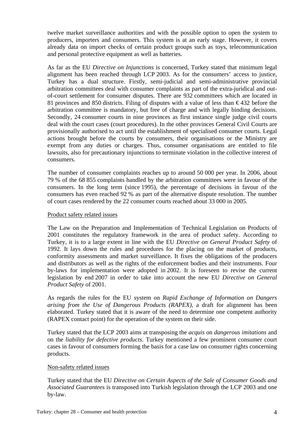twelve market surveillance authorities and with the possible option to open the system to producers, importers and consumers. This system is at an early stage. However, it covers already data on import checks of certain product groups such as toys, telecommunication and personal protective equipment as well as batteries.

As far as the EU *Directive on Injunctions* is concerned, Turkey stated that minimum legal alignment has been reached through LCP 2003. As for the consumers' access to justice*,* Turkey has a dual structure. Firstly, semi-judicial and semi-administrative provincial arbitration committees deal with consumer complaints as part of the extra-juridical and outof-court settlement for consumer disputes. There are 932 committees which are located in 81 provinces and 850 districts. Filing of disputes with a value of less than  $\epsilon$ 432 before the arbitration committee is mandatory, but free of charge and with legally binding decisions. Secondly, 24 consumer courts in nine provinces as first instance single judge civil courts deal with the court cases (court procedures). In the other provinces General Civil Courts are provisionally authorised to act until the establishment of specialised consumer courts. Legal actions brought before the courts by consumers, their organisations or the Ministry are exempt from any duties or charges. Thus, consumer organisations are entitled to file lawsuits, also for precautionary injunctions to terminate violation in the collective interest of consumers.

The number of consumer complaints reaches up to around 50 000 per year. In 2006, about 79 % of the 68 855 complaints handled by the arbitration committees were in favour of the consumers. In the long term (since 1995), the percentage of decisions in favour of the consumers has even reached 92 % as part of the alternative dispute resolution. The number of court cases rendered by the 22 consumer courts reached about 33 000 in 2005.

#### Product safety related issues

The Law on the Preparation and Implementation of Technical Legislation on Products of 2001 constitutes the regulatory framework in the area of product safety. According to Turkey, it is to a large extent in line with the EU *Directive on General Product Safety* of 1992. It lays down the rules and procedures for the placing on the market of products, conformity assessments and market surveillance. It fixes the obligations of the producers and distributors as well as the rights of the enforcement bodies and their instruments. Four by-laws for implementation were adopted in 2002. It is foreseen to revise the current legislation by end 2007 in order to take into account the new EU *Directive on General Product Safety* of 2001.

As regards the rules for the EU system on *Rapid Exchange of Information on Dangers arising from the Use of Dangerous Products (RAPEX)*, a draft for alignment has been elaborated. Turkey stated that it is aware of the need to determine one competent authority (RAPEX contact point) for the operation of the system on their side.

Turkey stated that the LCP 2003 aims at transposing the *acquis* on *dangerous imitations* and on the *liability for defective products*. Turkey mentioned a few prominent consumer court cases in favour of consumers forming the basis for a case law on consumer rights concerning products.

#### Non-safety related issues

Turkey stated that the EU *Directive on Certain Aspects of the Sale of Consumer Goods and Associated Guarantees* is transposed into Turkish legislation through the LCP 2003 and one by-law.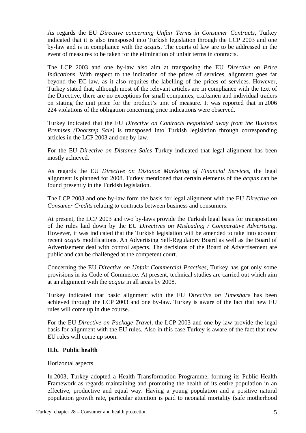As regards the EU *Directive concerning Unfair Terms in Consumer Contracts*, Turkey indicated that it is also transposed into Turkish legislation through the LCP 2003 and one by-law and is in compliance with the *acquis*. The courts of law are to be addressed in the event of measures to be taken for the elimination of unfair terms in contracts.

The LCP 2003 and one by-law also aim at transposing the EU *Directive on Price Indications*. With respect to the indication of the prices of services, alignment goes far beyond the EC law, as it also requires the labelling of the prices of services. However, Turkey stated that, although most of the relevant articles are in compliance with the text of the Directive, there are no exceptions for small companies, craftsmen and individual traders on stating the unit price for the product's unit of measure. It was reported that in 2006 224 violations of the obligation concerning price indications were observed.

Turkey indicated that the EU *Directive on Contracts negotiated away from the Business Premises (Doorstep Sale)* is transposed into Turkish legislation through corresponding articles in the LCP 2003 and one by-law.

For the EU *Directive on Distance Sales* Turkey indicated that legal alignment has been mostly achieved.

As regards the EU *Directive on Distance Marketing of Financial Services*, the legal alignment is planned for 2008. Turkey mentioned that certain elements of the *acquis* can be found presently in the Turkish legislation.

The LCP 2003 and one by-law form the basis for legal alignment with the EU *Directive on Consumer Credits* relating to contracts between business and consumers.

At present, the LCP 2003 and two by-laws provide the Turkish legal basis for transposition of the rules laid down by the EU *Directives on Misleading / Comparative Advertising*. However, it was indicated that the Turkish legislation will be amended to take into account recent *acquis* modifications. An Advertising Self-Regulatory Board as well as the Board of Advertisement deal with control aspects. The decisions of the Board of Advertisement are public and can be challenged at the competent court.

Concerning the EU *Directive on Unfair Commercial Practises*, Turkey has got only some provisions in its Code of Commerce. At present, technical studies are carried out which aim at an alignment with the *acquis* in all areas by 2008.

Turkey indicated that basic alignment with the EU *Directive on Timeshare* has been achieved through the LCP 2003 and one by-law. Turkey is aware of the fact that new EU rules will come up in due course.

For the EU *Directive on Package Travel*, the LCP 2003 and one by-law provide the legal basis for alignment with the EU rules. Also in this case Turkey is aware of the fact that new EU rules will come up soon.

#### **II.b. Public health**

#### Horizontal aspects

In 2003, Turkey adopted a Health Transformation Programme, forming its Public Health Framework as regards maintaining and promoting the health of its entire population in an effective, productive and equal way. Having a young population and a positive natural population growth rate, particular attention is paid to neonatal mortality (safe motherhood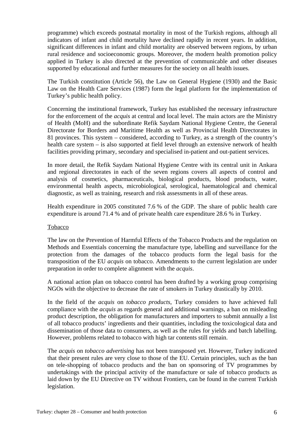programme) which exceeds postnatal mortality in most of the Turkish regions, although all indicators of infant and child mortality have declined rapidly in recent years. In addition, significant differences in infant and child mortality are observed between regions, by urban rural residence and socioeconomic groups. Moreover, the modern health promotion policy applied in Turkey is also directed at the prevention of communicable and other diseases supported by educational and further measures for the society on all health issues.

The Turkish constitution (Article 56), the Law on General Hygiene (1930) and the Basic Law on the Health Care Services (1987) form the legal platform for the implementation of Turkey's public health policy.

Concerning the institutional framework, Turkey has established the necessary infrastructure for the enforcement of the *acquis* at central and local level. The main actors are the Ministry of Health (MoH) and the subordinate Refik Saydam National Hygiene Centre, the General Directorate for Borders and Maritime Health as well as Provincial Health Directorates in 81 provinces. This system – considered, according to Turkey, as a strength of the country's health care system – is also supported at field level through an extensive network of health facilities providing primary, secondary and specialised in-patient and out-patient services.

In more detail, the Refik Saydam National Hygiene Centre with its central unit in Ankara and regional directorates in each of the seven regions covers all aspects of control and analysis of cosmetics, pharmaceuticals, biological products, blood products, water, environmental health aspects, microbiological, serological, haematological and chemical diagnostic, as well as training, research and risk assessments in all of these areas.

Health expenditure in 2005 constituted 7.6 % of the GDP. The share of public health care expenditure is around 71.4 % and of private health care expenditure 28.6 % in Turkey.

#### Tobacco

The law on the Prevention of Harmful Effects of the Tobacco Products and the regulation on Methods and Essentials concerning the manufacture type, labelling and surveillance for the protection from the damages of the tobacco products form the legal basis for the transposition of the EU *acquis* on tobacco. Amendments to the current legislation are under preparation in order to complete alignment with the *acquis*.

A national action plan on tobacco control has been drafted by a working group comprising NGOs with the objective to decrease the rate of smokers in Turkey drastically by 2010.

In the field of the *acquis* on *tobacco products*, Turkey considers to have achieved full compliance with the *acquis* as regards general and additional warnings, a ban on misleading product description, the obligation for manufacturers and importers to submit annually a list of all tobacco products' ingredients and their quantities, including the toxicological data and dissemination of those data to consumers, as well as the rules for yields and batch labelling. However, problems related to tobacco with high tar contents still remain.

The *acquis* on *tobacco advertising* has not been transposed yet. However, Turkey indicated that their present rules are very close to those of the EU. Certain principles, such as the ban on tele-shopping of tobacco products and the ban on sponsoring of TV programmes by undertakings with the principal activity of the manufacture or sale of tobacco products as laid down by the EU Directive on TV without Frontiers, can be found in the current Turkish legislation.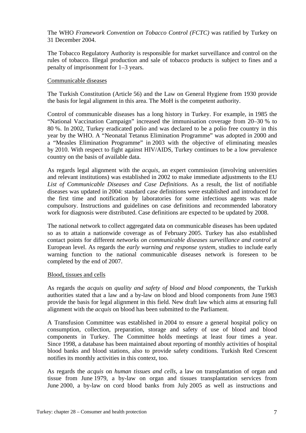The WHO *Framework Convention on Tobacco Control (FCTC)* was ratified by Turkey on 31 December 2004.

The Tobacco Regulatory Authority is responsible for market surveillance and control on the rules of tobacco. Illegal production and sale of tobacco products is subject to fines and a penalty of imprisonment for 1–3 years.

#### Communicable diseases

The Turkish Constitution (Article 56) and the Law on General Hygiene from 1930 provide the basis for legal alignment in this area. The MoH is the competent authority.

Control of communicable diseases has a long history in Turkey. For example, in 1985 the "National Vaccination Campaign" increased the immunisation coverage from 20–30 % to 80 %. In 2002, Turkey eradicated polio and was declared to be a polio free country in this year by the WHO. A "Neonatal Tetanus Elimination Programme" was adopted in 2000 and a "Measles Elimination Programme" in 2003 with the objective of eliminating measles by 2010. With respect to fight against HIV/AIDS, Turkey continues to be a low prevalence country on the basis of available data.

As regards legal alignment with the *acquis*, an expert commission (involving universities and relevant institutions) was established in 2002 to make immediate adjustments to the EU *List of Communicable Diseases and Case Definitions*. As a result, the list of notifiable diseases was updated in 2004: standard case definitions were established and introduced for the first time and notification by laboratories for some infectious agents was made compulsory. Instructions and guidelines on case definitions and recommended laboratory work for diagnosis were distributed. Case definitions are expected to be updated by 2008.

The national network to collect aggregated data on communicable diseases has been updated so as to attain a nationwide coverage as of February 2005. Turkey has also established contact points for different *networks on communicable diseases surveillance and control* at European level. As regards the *early warning and response system*, studies to include early warning function to the national communicable diseases network is foreseen to be completed by the end of 2007.

#### Blood, tissues and cells

As regards the *acquis* on *quality and safety of blood and blood components*, the Turkish authorities stated that a law and a by-law on blood and blood components from June 1983 provide the basis for legal alignment in this field. New draft law which aims at ensuring full alignment with the *acquis* on blood has been submitted to the Parliament.

A Transfusion Committee was established in 2004 to ensure a general hospital policy on consumption, collection, preparation, storage and safety of use of blood and blood components in Turkey. The Committee holds meetings at least four times a year. Since 1998, a database has been maintained about reporting of monthly activities of hospital blood banks and blood stations, also to provide safety conditions. Turkish Red Crescent notifies its monthly activities in this context, too.

As regards the *acquis* on *human tissues and cells*, a law on transplantation of organ and tissue from June 1979, a by-law on organ and tissues transplantation services from June 2000, a by-law on cord blood banks from July 2005 as well as instructions and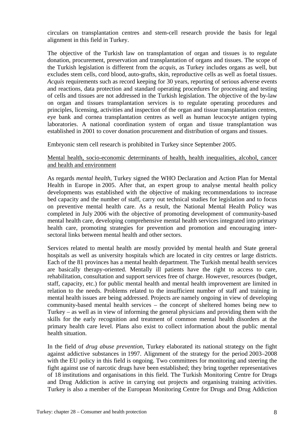circulars on transplantation centres and stem-cell research provide the basis for legal alignment in this field in Turkey.

The objective of the Turkish law on transplantation of organ and tissues is to regulate donation, procurement, preservation and transplantation of organs and tissues. The scope of the Turkish legislation is different from the *acquis*, as Turkey includes organs as well, but excludes stem cells, cord blood, auto-grafts, skin, reproductive cells as well as foetal tissues. *Acquis* requirements such as record keeping for 30 years, reporting of serious adverse events and reactions, data protection and standard operating procedures for processing and testing of cells and tissues are not addressed in the Turkish legislation. The objective of the by-law on organ and tissues transplantation services is to regulate operating procedures and principles, licensing, activities and inspection of the organ and tissue transplantation centres, eye bank and cornea transplantation centres as well as human leucocyte antigen typing laboratories. A national coordination system of organ and tissue transplantation was established in 2001 to cover donation procurement and distribution of organs and tissues.

Embryonic stem cell research is prohibited in Turkey since September 2005.

Mental health, socio-economic determinants of health, health inequalities, alcohol, cancer and health and environment

As regards *mental health*, Turkey signed the WHO Declaration and Action Plan for Mental Health in Europe in 2005. After that, an expert group to analyse mental health policy developments was established with the objective of making recommendations to increase bed capacity and the number of staff, carry out technical studies for legislation and to focus on preventive mental health care. As a result, the National Mental Health Policy was completed in July 2006 with the objective of promoting development of community-based mental health care, developing comprehensive mental health services integrated into primary health care, promoting strategies for prevention and promotion and encouraging intersectoral links between mental health and other sectors.

Services related to mental health are mostly provided by mental health and State general hospitals as well as university hospitals which are located in city centres or large districts. Each of the 81 provinces has a mental health department. The Turkish mental health services are basically therapy-oriented. Mentally ill patients have the right to access to care, rehabilitation, consultation and support services free of charge. However, resources (budget, staff, capacity, etc.) for public mental health and mental health improvement are limited in relation to the needs. Problems related to the insufficient number of staff and training in mental health issues are being addressed. Projects are namely ongoing in view of developing community-based mental health services – the concept of sheltered homes being new to Turkey – as well as in view of informing the general physicians and providing them with the skills for the early recognition and treatment of common mental health disorders at the primary health care level. Plans also exist to collect information about the public mental health situation.

In the field of *drug abuse prevention*, Turkey elaborated its national strategy on the fight against addictive substances in 1997. Alignment of the strategy for the period 2003–2008 with the EU policy in this field is ongoing. Two committees for monitoring and steering the fight against use of narcotic drugs have been established; they bring together representatives of 18 institutions and organisations in this field. The Turkish Monitoring Centre for Drugs and Drug Addiction is active in carrying out projects and organising training activities. Turkey is also a member of the European Monitoring Centre for Drugs and Drug Addiction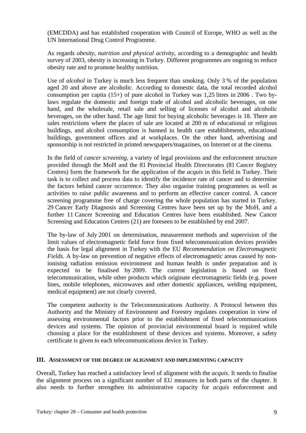(EMCDDA) and has established cooperation with Council of Europe, WHO as well as the UN International Drug Control Programme.

As regards *obesity, nutrition and physical activity*, according to a demographic and health survey of 2003, obesity is increasing in Turkey. Different programmes are ongoing to reduce obesity rate and to promote healthy nutrition.

Use of *alcohol* in Turkey is much less frequent than smoking. Only 3 % of the population aged 20 and above are alcoholic. According to domestic data, the total recorded alcohol consumption per capita  $(15+)$  of pure alcohol in Turkey was 1,25 litres in 2006. Two bylaws regulate the domestic and foreign trade of alcohol and alcoholic beverages, on one hand, and the wholesale, retail sale and selling of licenses of alcohol and alcoholic beverages, on the other hand. The age limit for buying alcoholic beverages is 18. There are sales restrictions where the places of sale are located at 200 m of educational or religious buildings, and alcohol consumption is banned in health care establishments, educational buildings, government offices and at workplaces. On the other hand, advertising and sponsorship is not restricted in printed newspapers/magazines, on Internet or at the cinema.

In the field of *cancer screening*, a variety of legal provisions and the enforcement structure provided through the MoH and the 81 Provincial Health Directorates (81 Cancer Registry Centres) form the framework for the application of the *acquis* in this field in Turkey. Their task is to collect and process data to identify the incidence rate of cancer and to determine the factors behind cancer occurrence. They also organise training programmes as well as activities to raise public awareness and to perform an effective cancer control. A cancer screening programme free of charge covering the whole population has started in Turkey. 29 Cancer Early Diagnosis and Screening Centres have been set up by the MoH, and a further 11 Cancer Screening and Education Centres have been established. New Cancer Screening and Education Centres (21) are foreseen to be established by end 2007.

The by-law of July 2001 on determination, measurement methods and supervision of the limit values of electromagnetic field force from fixed telecommunication devices provides the basis for legal alignment in Turkey with the EU *Recommendation on Electromagnetic Fields*. A by-law on prevention of negative effects of electromagnetic areas caused by nonionising radiation emission environment and human health is under preparation and is expected to be finalised by 2009. The current legislation is based on fixed telecommunication, while other products which originate electromagnetic fields (e.g. power lines, mobile telephones, microwaves and other domestic appliances, welding equipment, medical equipment) are not clearly covered.

The competent authority is the Telecommunications Authority. A Protocol between this Authority and the Ministry of Environment and Forestry regulates cooperation in view of assessing environmental factors prior to the establishment of fixed telecommunications devices and systems. The opinion of provincial environmental board is required while choosing a place for the establishment of these devices and systems. Moreover, a safety certificate is given to each telecommunications device in Turkey.

#### **III. ASSESSMENT OF THE DEGREE OF ALIGNMENT AND IMPLEMENTING CAPACITY**

Overall, Turkey has reached a satisfactory level of alignment with the *acquis*. It needs to finalise the alignment process on a significant number of EU measures in both parts of the chapter. It also needs to further strengthen its administrative capacity for *acquis* enforcement and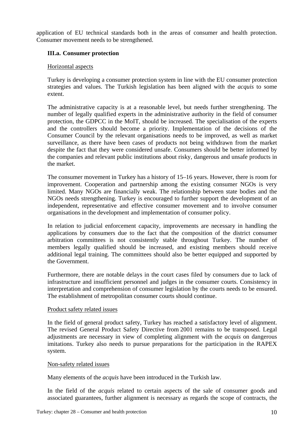application of EU technical standards both in the areas of consumer and health protection. Consumer movement needs to be strengthened.

# **III.a. Consumer protection**

## Horizontal aspects

Turkey is developing a consumer protection system in line with the EU consumer protection strategies and values. The Turkish legislation has been aligned with the *acquis* to some extent.

The administrative capacity is at a reasonable level, but needs further strengthening. The number of legally qualified experts in the administrative authority in the field of consumer protection, the GDPCC in the MoIT, should be increased. The specialisation of the experts and the controllers should become a priority. Implementation of the decisions of the Consumer Council by the relevant organisations needs to be improved, as well as market surveillance, as there have been cases of products not being withdrawn from the market despite the fact that they were considered unsafe. Consumers should be better informed by the companies and relevant public institutions about risky, dangerous and unsafe products in the market.

The consumer movement in Turkey has a history of 15–16 years. However, there is room for improvement. Cooperation and partnership among the existing consumer NGOs is very limited. Many NGOs are financially weak. The relationship between state bodies and the NGOs needs strengthening. Turkey is encouraged to further support the development of an independent, representative and effective consumer movement and to involve consumer organisations in the development and implementation of consumer policy.

In relation to judicial enforcement capacity, improvements are necessary in handling the applications by consumers due to the fact that the composition of the district consumer arbitration committees is not consistently stable throughout Turkey. The number of members legally qualified should be increased, and existing members should receive additional legal training. The committees should also be better equipped and supported by the Government.

Furthermore, there are notable delays in the court cases filed by consumers due to lack of infrastructure and insufficient personnel and judges in the consumer courts. Consistency in interpretation and comprehension of consumer legislation by the courts needs to be ensured. The establishment of metropolitan consumer courts should continue.

#### Product safety related issues

In the field of general product safety, Turkey has reached a satisfactory level of alignment. The revised General Product Safety Directive from 2001 remains to be transposed. Legal adjustments are necessary in view of completing alignment with the *acquis* on dangerous imitations. Turkey also needs to pursue preparations for the participation in the RAPEX system.

#### Non-safety related issues

Many elements of the *acquis* have been introduced in the Turkish law.

In the field of the *acquis* related to certain aspects of the sale of consumer goods and associated guarantees, further alignment is necessary as regards the scope of contracts, the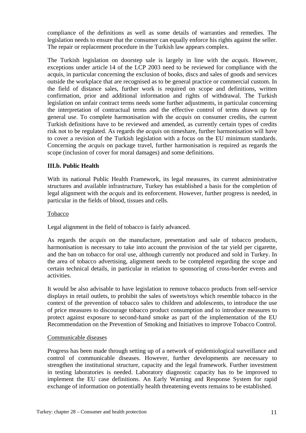compliance of the definitions as well as some details of warranties and remedies. The legislation needs to ensure that the consumer can equally enforce his rights against the seller. The repair or replacement procedure in the Turkish law appears complex.

The Turkish legislation on doorstep sale is largely in line with the *acquis*. However, exceptions under article 14 of the LCP 2003 need to be reviewed for compliance with the acquis, in particular concerning the exclusion of books, discs and sales of goods and services outside the workplace that are recognised as to be general practice or commercial custom. In the field of distance sales, further work is required on scope and definitions, written confirmation, prior and additional information and rights of withdrawal. The Turkish legislation on unfair contract terms needs some further adjustments, in particular concerning the interpretation of contractual terms and the effective control of terms drawn up for general use. To complete harmonisation with the *acquis* on consumer credits, the current Turkish definitions have to be reviewed and amended, as currently certain types of credits risk not to be regulated. As regards the *acquis* on timeshare, further harmonisation will have to cover a revision of the Turkish legislation with a focus on the EU minimum standards. Concerning the *acquis* on package travel, further harmonisation is required as regards the scope (inclusion of cover for moral damages) and some definitions.

## **III.b. Public Health**

With its national Public Health Framework, its legal measures, its current administrative structures and available infrastructure, Turkey has established a basis for the completion of legal alignment with the *acquis* and its enforcement. However, further progress is needed, in particular in the fields of blood, tissues and cells.

#### Tobacco

Legal alignment in the field of tobacco is fairly advanced.

As regards the *acquis* on the manufacture, presentation and sale of tobacco products, harmonisation is necessary to take into account the provision of the tar yield per cigarette, and the ban on tobacco for oral use, although currently not produced and sold in Turkey. In the area of tobacco advertising, alignment needs to be completed regarding the scope and certain technical details, in particular in relation to sponsoring of cross-border events and activities.

It would be also advisable to have legislation to remove tobacco products from self-service displays in retail outlets, to prohibit the sales of sweets/toys which resemble tobacco in the context of the prevention of tobacco sales to children and adolescents, to introduce the use of price measures to discourage tobacco product consumption and to introduce measures to protect against exposure to second-hand smoke as part of the implementation of the EU Recommendation on the Prevention of Smoking and Initiatives to improve Tobacco Control.

#### Communicable diseases

Progress has been made through setting up of a network of epidemiological surveillance and control of communicable diseases. However, further developments are necessary to strengthen the institutional structure, capacity and the legal framework. Further investment in testing laboratories is needed. Laboratory diagnostic capacity has to be improved to implement the EU case definitions. An Early Warning and Response System for rapid exchange of information on potentially health threatening events remains to be established.